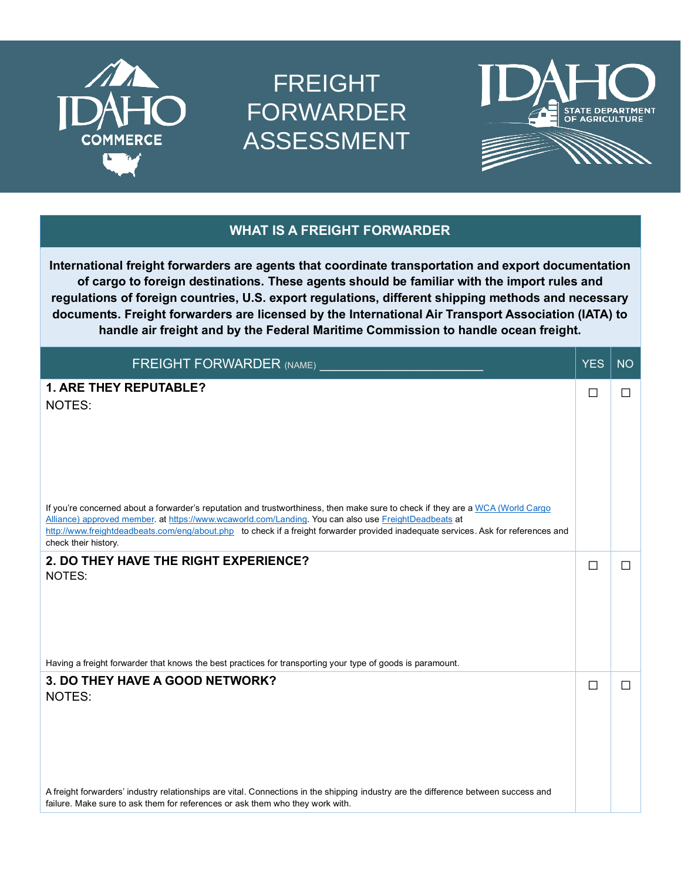

## FREIGHT FORWARDER ASSESSMENT





## **WHAT IS A FREIGHT FORWARDER**

**International freight forwarders are agents that coordinate transportation and export documentation of cargo to foreign destinations. These agents should be familiar with the import rules and regulations of foreign countries, U.S. export regulations, different shipping methods and necessary documents. Freight forwarders are licensed by the International Air Transport Association (IATA) to handle air freight and by the Federal Maritime Commission to handle ocean freight.**

| <b>FREIGHT FORWARDER (NAME)</b>                                                                                                                                                                                                                                                                                                                                                                      | <b>YES</b> | <b>NO</b> |
|------------------------------------------------------------------------------------------------------------------------------------------------------------------------------------------------------------------------------------------------------------------------------------------------------------------------------------------------------------------------------------------------------|------------|-----------|
| <b>1. ARE THEY REPUTABLE?</b><br>NOTES:                                                                                                                                                                                                                                                                                                                                                              | П          | П         |
| If you're concerned about a forwarder's reputation and trustworthiness, then make sure to check if they are a WCA (World Cargo<br>Alliance) approved member. at https://www.wcaworld.com/Landing. You can also use FreightDeadbeats at<br>http://www.freightdeadbeats.com/eng/about.php to check if a freight forwarder provided inadequate services. Ask for references and<br>check their history. |            |           |
| 2. DO THEY HAVE THE RIGHT EXPERIENCE?<br>NOTES:                                                                                                                                                                                                                                                                                                                                                      | $\Box$     | $\Box$    |
| Having a freight forwarder that knows the best practices for transporting your type of goods is paramount.                                                                                                                                                                                                                                                                                           |            |           |
| 3. DO THEY HAVE A GOOD NETWORK?<br>NOTES:                                                                                                                                                                                                                                                                                                                                                            | П          | П         |
| A freight forwarders' industry relationships are vital. Connections in the shipping industry are the difference between success and<br>failure. Make sure to ask them for references or ask them who they work with.                                                                                                                                                                                 |            |           |